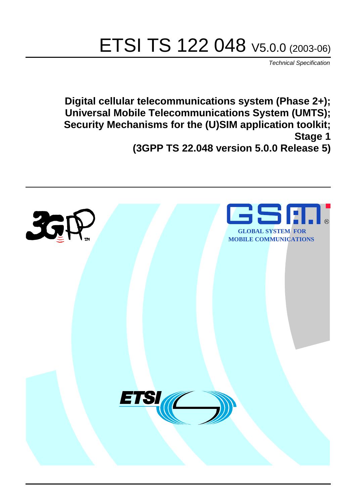# ETSI TS 122 048 V5.0.0 (2003-06)

Technical Specification

**Digital cellular telecommunications system (Phase 2+); Universal Mobile Telecommunications System (UMTS); Security Mechanisms for the (U)SIM application toolkit; Stage 1**

**(3GPP TS 22.048 version 5.0.0 Release 5)**

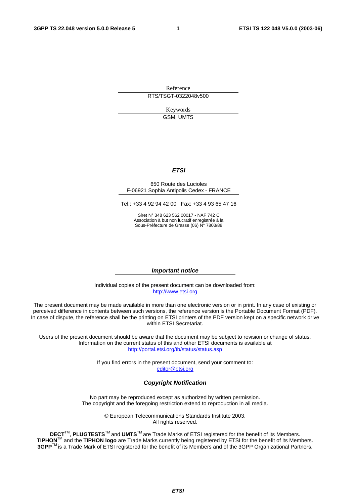Reference RTS/TSGT-0322048v500

> Keywords GSM, UMTS

#### **ETSI**

#### 650 Route des Lucioles F-06921 Sophia Antipolis Cedex - FRANCE

Tel.: +33 4 92 94 42 00 Fax: +33 4 93 65 47 16

Siret N° 348 623 562 00017 - NAF 742 C Association à but non lucratif enregistrée à la Sous-Préfecture de Grasse (06) N° 7803/88

#### **Important notice**

Individual copies of the present document can be downloaded from: [http://www.etsi.org](http://www.etsi.org/)

The present document may be made available in more than one electronic version or in print. In any case of existing or perceived difference in contents between such versions, the reference version is the Portable Document Format (PDF). In case of dispute, the reference shall be the printing on ETSI printers of the PDF version kept on a specific network drive within ETSI Secretariat.

Users of the present document should be aware that the document may be subject to revision or change of status. Information on the current status of this and other ETSI documents is available at <http://portal.etsi.org/tb/status/status.asp>

> If you find errors in the present document, send your comment to: [editor@etsi.org](mailto:editor@etsi.org)

#### **Copyright Notification**

No part may be reproduced except as authorized by written permission. The copyright and the foregoing restriction extend to reproduction in all media.

> © European Telecommunications Standards Institute 2003. All rights reserved.

**DECT**TM, **PLUGTESTS**TM and **UMTS**TM are Trade Marks of ETSI registered for the benefit of its Members. **TIPHON**TM and the **TIPHON logo** are Trade Marks currently being registered by ETSI for the benefit of its Members. **3GPP**TM is a Trade Mark of ETSI registered for the benefit of its Members and of the 3GPP Organizational Partners.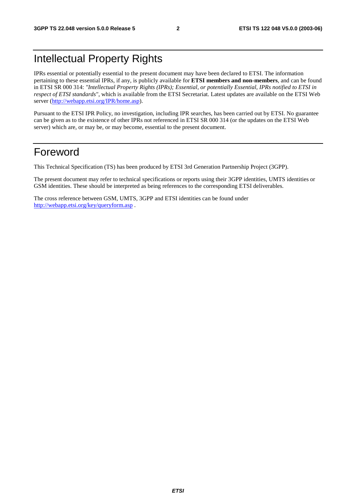## Intellectual Property Rights

IPRs essential or potentially essential to the present document may have been declared to ETSI. The information pertaining to these essential IPRs, if any, is publicly available for **ETSI members and non-members**, and can be found in ETSI SR 000 314: *"Intellectual Property Rights (IPRs); Essential, or potentially Essential, IPRs notified to ETSI in respect of ETSI standards"*, which is available from the ETSI Secretariat. Latest updates are available on the ETSI Web server ([http://webapp.etsi.org/IPR/home.asp\)](http://webapp.etsi.org/IPR/home.asp).

Pursuant to the ETSI IPR Policy, no investigation, including IPR searches, has been carried out by ETSI. No guarantee can be given as to the existence of other IPRs not referenced in ETSI SR 000 314 (or the updates on the ETSI Web server) which are, or may be, or may become, essential to the present document.

### Foreword

This Technical Specification (TS) has been produced by ETSI 3rd Generation Partnership Project (3GPP).

The present document may refer to technical specifications or reports using their 3GPP identities, UMTS identities or GSM identities. These should be interpreted as being references to the corresponding ETSI deliverables.

The cross reference between GSM, UMTS, 3GPP and ETSI identities can be found under <http://webapp.etsi.org/key/queryform.asp>.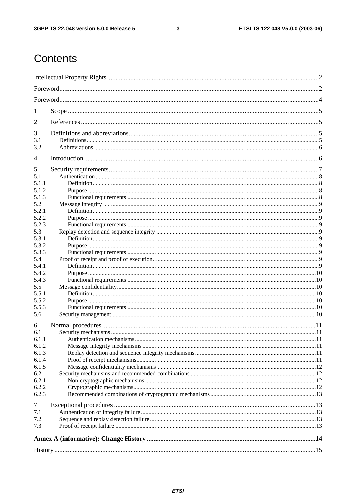$\mathbf{3}$ 

# Contents

| 7.3   |  |  |
|-------|--|--|
| 7.2   |  |  |
| 7.1   |  |  |
| 7     |  |  |
| 6.2.3 |  |  |
| 6.2.2 |  |  |
| 6.2.1 |  |  |
| 6.2   |  |  |
| 6.1.5 |  |  |
| 6.1.4 |  |  |
| 6.1.3 |  |  |
| 6.1.2 |  |  |
| 6.1.1 |  |  |
| 6.1   |  |  |
| 6     |  |  |
| 5.6   |  |  |
| 5.5.3 |  |  |
| 5.5.2 |  |  |
| 5.5.1 |  |  |
| 5.5   |  |  |
| 5.4.3 |  |  |
| 5.4.2 |  |  |
| 5.4.1 |  |  |
| 5.4   |  |  |
| 5.3.3 |  |  |
| 5.3.2 |  |  |
| 5.3.1 |  |  |
| 5.3   |  |  |
| 5.2.3 |  |  |
| 5.2.2 |  |  |
| 5.2.1 |  |  |
| 5.2   |  |  |
| 5.1.3 |  |  |
| 5.1.2 |  |  |
| 5.1.1 |  |  |
| 5.1   |  |  |
| 5     |  |  |
| 4     |  |  |
| 3.2   |  |  |
| 3.1   |  |  |
| 3     |  |  |
|       |  |  |
| 2     |  |  |
| 1     |  |  |
|       |  |  |
|       |  |  |
|       |  |  |
|       |  |  |
|       |  |  |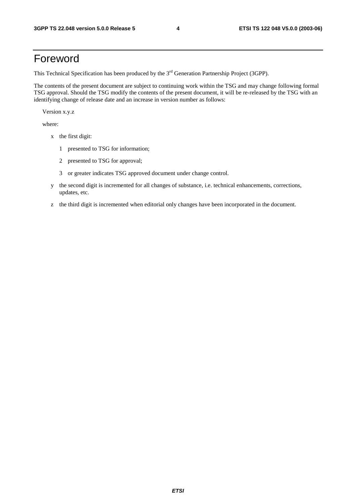### Foreword

This Technical Specification has been produced by the 3<sup>rd</sup> Generation Partnership Project (3GPP).

The contents of the present document are subject to continuing work within the TSG and may change following formal TSG approval. Should the TSG modify the contents of the present document, it will be re-released by the TSG with an identifying change of release date and an increase in version number as follows:

Version x.y.z

where:

- x the first digit:
	- 1 presented to TSG for information;
	- 2 presented to TSG for approval;
	- 3 or greater indicates TSG approved document under change control.
- y the second digit is incremented for all changes of substance, i.e. technical enhancements, corrections, updates, etc.
- z the third digit is incremented when editorial only changes have been incorporated in the document.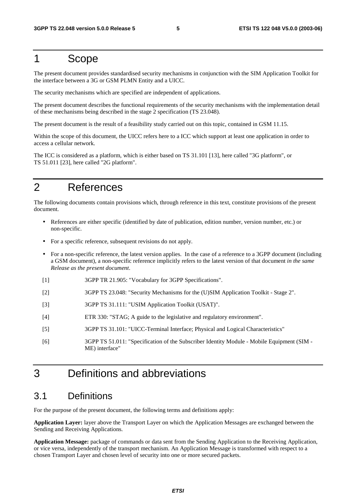### 1 Scope

The present document provides standardised security mechanisms in conjunction with the SIM Application Toolkit for the interface between a 3G or GSM PLMN Entity and a UICC.

The security mechanisms which are specified are independent of applications.

The present document describes the functional requirements of the security mechanisms with the implementation detail of these mechanisms being described in the stage 2 specification (TS 23.048).

The present document is the result of a feasibility study carried out on this topic, contained in GSM 11.15.

Within the scope of this document, the UICC refers here to a ICC which support at least one application in order to access a cellular network.

The ICC is considered as a platform, which is either based on TS 31.101 [13], here called "3G platform", or TS 51.011 [23], here called "2G platform".

### 2 References

The following documents contain provisions which, through reference in this text, constitute provisions of the present document.

- References are either specific (identified by date of publication, edition number, version number, etc.) or non-specific.
- For a specific reference, subsequent revisions do not apply.
- For a non-specific reference, the latest version applies. In the case of a reference to a 3GPP document (including a GSM document), a non-specific reference implicitly refers to the latest version of that document *in the same Release as the present document*.
- [1] 3GPP TR 21.905: "Vocabulary for 3GPP Specifications".
- [2] 3GPP TS 23.048: "Security Mechanisms for the (U)SIM Application Toolkit Stage 2".
- [3] 3GPP TS 31.111: "USIM Application Toolkit (USAT)".
- [4] ETR 330: "STAG; A guide to the legislative and regulatory environment".
- [5] 3GPP TS 31.101: "UICC-Terminal Interface; Physical and Logical Characteristics"
- [6] 3GPP TS 51.011: "Specification of the Subscriber Identity Module Mobile Equipment (SIM ME) interface"

### 3 Definitions and abbreviations

#### 3.1 Definitions

For the purpose of the present document, the following terms and definitions apply:

**Application Layer:** layer above the Transport Layer on which the Application Messages are exchanged between the Sending and Receiving Applications.

**Application Message:** package of commands or data sent from the Sending Application to the Receiving Application, or vice versa, independently of the transport mechanism. An Application Message is transformed with respect to a chosen Transport Layer and chosen level of security into one or more secured packets.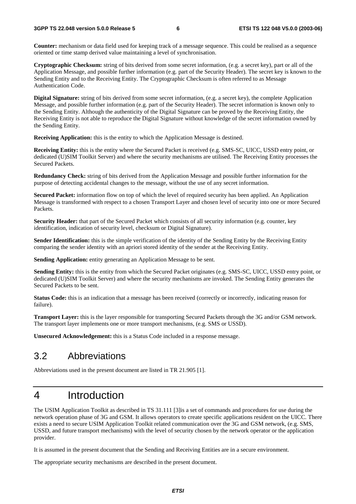**Counter:** mechanism or data field used for keeping track of a message sequence. This could be realised as a sequence oriented or time stamp derived value maintaining a level of synchronisation.

**Cryptographic Checksum:** string of bits derived from some secret information, (e.g. a secret key), part or all of the Application Message, and possible further information (e.g. part of the Security Header). The secret key is known to the Sending Entity and to the Receiving Entity. The Cryptographic Checksum is often referred to as Message Authentication Code.

**Digital Signature:** string of bits derived from some secret information, (e.g. a secret key), the complete Application Message, and possible further information (e.g. part of the Security Header). The secret information is known only to the Sending Entity. Although the authenticity of the Digital Signature can be proved by the Receiving Entity, the Receiving Entity is not able to reproduce the Digital Signature without knowledge of the secret information owned by the Sending Entity.

**Receiving Application:** this is the entity to which the Application Message is destined.

**Receiving Entity:** this is the entity where the Secured Packet is received (e.g. SMS-SC, UICC, USSD entry point, or dedicated (U)SIM Toolkit Server) and where the security mechanisms are utilised. The Receiving Entity processes the Secured Packets.

**Redundancy Check:** string of bits derived from the Application Message and possible further information for the purpose of detecting accidental changes to the message, without the use of any secret information.

**Secured Packet:** information flow on top of which the level of required security has been applied. An Application Message is transformed with respect to a chosen Transport Layer and chosen level of security into one or more Secured Packets.

**Security Header:** that part of the Secured Packet which consists of all security information (e.g. counter, key identification, indication of security level, checksum or Digital Signature).

**Sender Identification:** this is the simple verification of the identity of the Sending Entity by the Receiving Entity comparing the sender identity with an apriori stored identity of the sender at the Receiving Entity.

**Sending Application:** entity generating an Application Message to be sent.

**Sending Entity:** this is the entity from which the Secured Packet originates (e.g. SMS-SC, UICC, USSD entry point, or dedicated (U)SIM Toolkit Server) and where the security mechanisms are invoked. The Sending Entity generates the Secured Packets to be sent.

Status Code: this is an indication that a message has been received (correctly or incorrectly, indicating reason for failure).

**Transport Layer:** this is the layer responsible for transporting Secured Packets through the 3G and/or GSM network. The transport layer implements one or more transport mechanisms, (e.g. SMS or USSD).

**Unsecured Acknowledgement:** this is a Status Code included in a response message.

### 3.2 Abbreviations

Abbreviations used in the present document are listed in TR 21.905 [1].

## 4 Introduction

The USIM Application Toolkit as described in TS 31.111 [3]is a set of commands and procedures for use during the network operation phase of 3G and GSM. It allows operators to create specific applications resident on the UICC. There exists a need to secure USIM Application Toolkit related communication over the 3G and GSM network, (e.g. SMS, USSD, and future transport mechanisms) with the level of security chosen by the network operator or the application provider.

It is assumed in the present document that the Sending and Receiving Entities are in a secure environment.

The appropriate security mechanisms are described in the present document.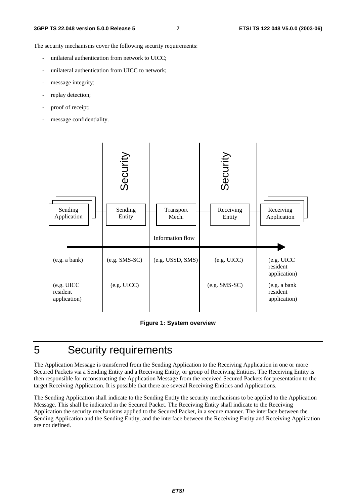The security mechanisms cover the following security requirements:

- unilateral authentication from network to UICC;
- unilateral authentication from UICC to network;
- message integrity;
- replay detection;
- proof of receipt;
- message confidentiality.





### 5 Security requirements

The Application Message is transferred from the Sending Application to the Receiving Application in one or more Secured Packets via a Sending Entity and a Receiving Entity, or group of Receiving Entities. The Receiving Entity is then responsible for reconstructing the Application Message from the received Secured Packets for presentation to the target Receiving Application. It is possible that there are several Receiving Entities and Applications.

The Sending Application shall indicate to the Sending Entity the security mechanisms to be applied to the Application Message. This shall be indicated in the Secured Packet. The Receiving Entity shall indicate to the Receiving Application the security mechanisms applied to the Secured Packet, in a secure manner. The interface between the Sending Application and the Sending Entity, and the interface between the Receiving Entity and Receiving Application are not defined.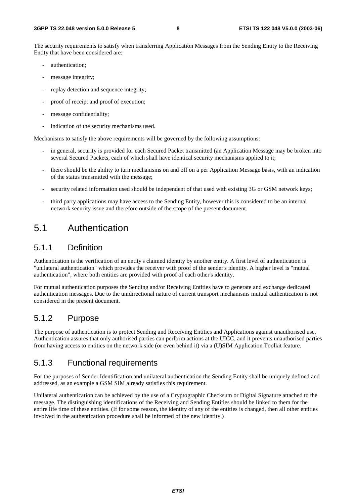The security requirements to satisfy when transferring Application Messages from the Sending Entity to the Receiving Entity that have been considered are:

- authentication;
- message integrity;
- replay detection and sequence integrity;
- proof of receipt and proof of execution;
- message confidentiality;
- indication of the security mechanisms used.

Mechanisms to satisfy the above requirements will be governed by the following assumptions:

- in general, security is provided for each Secured Packet transmitted (an Application Message may be broken into several Secured Packets, each of which shall have identical security mechanisms applied to it;
- there should be the ability to turn mechanisms on and off on a per Application Message basis, with an indication of the status transmitted with the message;
- security related information used should be independent of that used with existing 3G or GSM network keys;
- third party applications may have access to the Sending Entity, however this is considered to be an internal network security issue and therefore outside of the scope of the present document.

### 5.1 Authentication

#### 5.1.1 Definition

Authentication is the verification of an entity's claimed identity by another entity. A first level of authentication is "unilateral authentication" which provides the receiver with proof of the sender's identity. A higher level is "mutual authentication", where both entities are provided with proof of each other's identity.

For mutual authentication purposes the Sending and/or Receiving Entities have to generate and exchange dedicated authentication messages. Due to the unidirectional nature of current transport mechanisms mutual authentication is not considered in the present document.

#### 5.1.2 Purpose

The purpose of authentication is to protect Sending and Receiving Entities and Applications against unauthorised use. Authentication assures that only authorised parties can perform actions at the UICC, and it prevents unauthorised parties from having access to entities on the network side (or even behind it) via a (U)SIM Application Toolkit feature.

#### 5.1.3 Functional requirements

For the purposes of Sender Identification and unilateral authentication the Sending Entity shall be uniquely defined and addressed, as an example a GSM SIM already satisfies this requirement.

Unilateral authentication can be achieved by the use of a Cryptographic Checksum or Digital Signature attached to the message. The distinguishing identifications of the Receiving and Sending Entities should be linked to them for the entire life time of these entities. (If for some reason, the identity of any of the entities is changed, then all other entities involved in the authentication procedure shall be informed of the new identity.)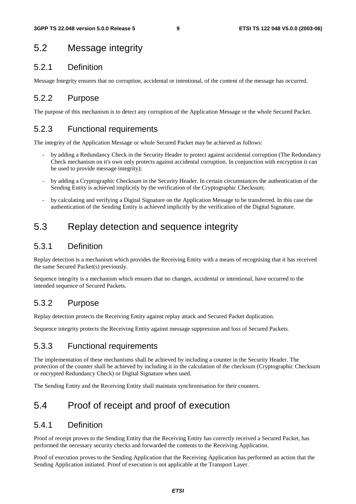### 5.2 Message integrity

#### 5.2.1 Definition

Message Integrity ensures that no corruption, accidental or intentional, of the content of the message has occurred.

#### 5.2.2 Purpose

The purpose of this mechanism is to detect any corruption of the Application Message or the whole Secured Packet.

#### 5.2.3 Functional requirements

The integrity of the Application Message or whole Secured Packet may be achieved as follows:

- by adding a Redundancy Check in the Security Header to protect against accidental corruption (The Redundancy Check mechanism on it's own only protects against accidental corruption. In conjunction with encryption it can be used to provide message integrity);
- by adding a Cryptographic Checksum in the Security Header. In certain circumstances the authentication of the Sending Entity is achieved implicitly by the verification of the Cryptographic Checksum;
- by calculating and verifying a Digital Signature on the Application Message to be transferred. In this case the authentication of the Sending Entity is achieved implicitly by the verification of the Digital Signature.

### 5.3 Replay detection and sequence integrity

#### 5.3.1 Definition

Replay detection is a mechanism which provides the Receiving Entity with a means of recognising that it has received the same Secured Packet(s) previously.

Sequence integrity is a mechanism which ensures that no changes, accidental or intentional, have occurred to the intended sequence of Secured Packets.

#### 5.3.2 Purpose

Replay detection protects the Receiving Entity against replay attack and Secured Packet duplication.

Sequence integrity protects the Receiving Entity against message suppression and loss of Secured Packets.

#### 5.3.3 Functional requirements

The implementation of these mechanisms shall be achieved by including a counter in the Security Header. The protection of the counter shall be achieved by including it in the calculation of the checksum (Cryptographic Checksum or encrypted Redundancy Check) or Digital Signature when used.

The Sending Entity and the Receiving Entity shall maintain synchronisation for their counters.

### 5.4 Proof of receipt and proof of execution

#### 5.4.1 Definition

Proof of receipt proves to the Sending Entity that the Receiving Entity has correctly received a Secured Packet, has performed the necessary security checks and forwarded the contents to the Receiving Application.

Proof of execution proves to the Sending Application that the Receiving Application has performed an action that the Sending Application initiated. Proof of execution is not applicable at the Transport Layer.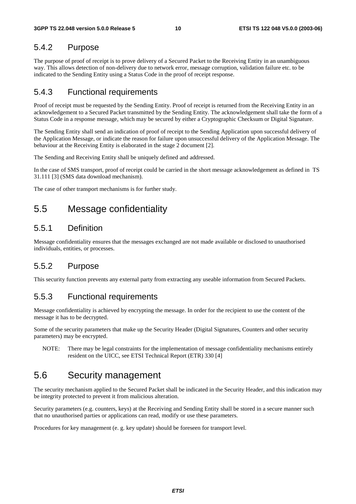#### 5.4.2 Purpose

The purpose of proof of receipt is to prove delivery of a Secured Packet to the Receiving Entity in an unambiguous way. This allows detection of non-delivery due to network error, message corruption, validation failure etc. to be indicated to the Sending Entity using a Status Code in the proof of receipt response.

#### 5.4.3 Functional requirements

Proof of receipt must be requested by the Sending Entity. Proof of receipt is returned from the Receiving Entity in an acknowledgement to a Secured Packet transmitted by the Sending Entity. The acknowledgement shall take the form of a Status Code in a response message, which may be secured by either a Cryptographic Checksum or Digital Signature.

The Sending Entity shall send an indication of proof of receipt to the Sending Application upon successful delivery of the Application Message, or indicate the reason for failure upon unsuccessful delivery of the Application Message. The behaviour at the Receiving Entity is elaborated in the stage 2 document [2].

The Sending and Receiving Entity shall be uniquely defined and addressed.

In the case of SMS transport, proof of receipt could be carried in the short message acknowledgement as defined in TS 31.111 [3] (SMS data download mechanism).

The case of other transport mechanisms is for further study.

### 5.5 Message confidentiality

#### 5.5.1 Definition

Message confidentiality ensures that the messages exchanged are not made available or disclosed to unauthorised individuals, entities, or processes.

#### 5.5.2 Purpose

This security function prevents any external party from extracting any useable information from Secured Packets.

#### 5.5.3 Functional requirements

Message confidentiality is achieved by encrypting the message. In order for the recipient to use the content of the message it has to be decrypted.

Some of the security parameters that make up the Security Header (Digital Signatures, Counters and other security parameters) may be encrypted.

NOTE: There may be legal constraints for the implementation of message confidentiality mechanisms entirely resident on the UICC, see ETSI Technical Report (ETR) 330 [4]

#### 5.6 Security management

The security mechanism applied to the Secured Packet shall be indicated in the Security Header, and this indication may be integrity protected to prevent it from malicious alteration.

Security parameters (e.g. counters, keys) at the Receiving and Sending Entity shall be stored in a secure manner such that no unauthorised parties or applications can read, modify or use these parameters.

Procedures for key management (e. g. key update) should be foreseen for transport level.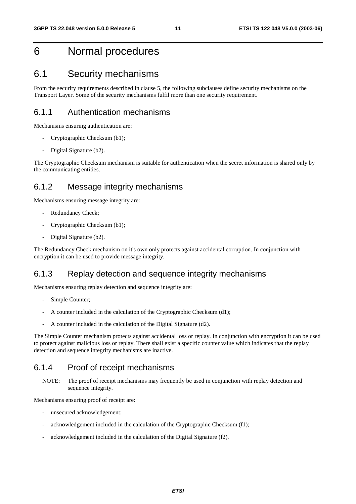### 6 Normal procedures

### 6.1 Security mechanisms

From the security requirements described in clause 5, the following subclauses define security mechanisms on the Transport Layer. Some of the security mechanisms fulfil more than one security requirement.

#### 6.1.1 Authentication mechanisms

Mechanisms ensuring authentication are:

- Cryptographic Checksum (b1);
- Digital Signature (b2).

The Cryptographic Checksum mechanism is suitable for authentication when the secret information is shared only by the communicating entities.

#### 6.1.2 Message integrity mechanisms

Mechanisms ensuring message integrity are:

- Redundancy Check;
- Cryptographic Checksum (b1);
- Digital Signature (b2).

The Redundancy Check mechanism on it's own only protects against accidental corruption. In conjunction with encryption it can be used to provide message integrity.

#### 6.1.3 Replay detection and sequence integrity mechanisms

Mechanisms ensuring replay detection and sequence integrity are:

- Simple Counter;
- A counter included in the calculation of the Cryptographic Checksum (d1);
- A counter included in the calculation of the Digital Signature (d2).

The Simple Counter mechanism protects against accidental loss or replay. In conjunction with encryption it can be used to protect against malicious loss or replay. There shall exist a specific counter value which indicates that the replay detection and sequence integrity mechanisms are inactive.

#### 6.1.4 Proof of receipt mechanisms

NOTE: The proof of receipt mechanisms may frequently be used in conjunction with replay detection and sequence integrity.

Mechanisms ensuring proof of receipt are:

- unsecured acknowledgement;
- acknowledgement included in the calculation of the Cryptographic Checksum (f1);
- acknowledgement included in the calculation of the Digital Signature (f2).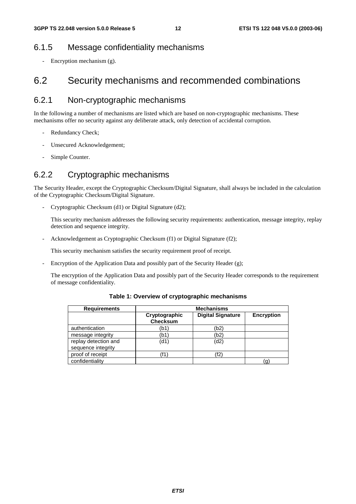#### 6.1.5 Message confidentiality mechanisms

- Encryption mechanism (g).

### 6.2 Security mechanisms and recommended combinations

#### 6.2.1 Non-cryptographic mechanisms

In the following a number of mechanisms are listed which are based on non-cryptographic mechanisms. These mechanisms offer no security against any deliberate attack, only detection of accidental corruption.

- Redundancy Check;
- Unsecured Acknowledgement;
- Simple Counter.

#### 6.2.2 Cryptographic mechanisms

The Security Header, except the Cryptographic Checksum/Digital Signature, shall always be included in the calculation of the Cryptographic Checksum/Digital Signature.

- Cryptographic Checksum (d1) or Digital Signature (d2);

 This security mechanism addresses the following security requirements: authentication, message integrity, replay detection and sequence integrity.

Acknowledgement as Cryptographic Checksum (f1) or Digital Signature (f2);

This security mechanism satisfies the security requirement proof of receipt.

Encryption of the Application Data and possibly part of the Security Header (g);

 The encryption of the Application Data and possibly part of the Security Header corresponds to the requirement of message confidentiality.

| <b>Requirements</b>                        | <b>Mechanisms</b>                |                          |                   |  |
|--------------------------------------------|----------------------------------|--------------------------|-------------------|--|
|                                            | Cryptographic<br><b>Checksum</b> | <b>Digital Signature</b> | <b>Encryption</b> |  |
| authentication                             | (b1                              | (b2)                     |                   |  |
| message integrity                          | (b1                              | (b2)                     |                   |  |
| replay detection and<br>sequence integrity | (d1)                             | (d2)                     |                   |  |
| proof of receipt                           | (f1`                             | 'f2)                     |                   |  |
| confidentiality                            |                                  |                          | g.                |  |

**Table 1: Overview of cryptographic mechanisms**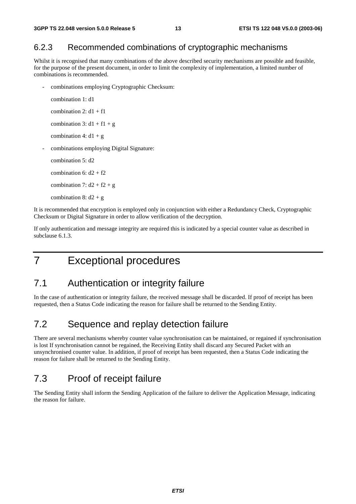#### 6.2.3 Recommended combinations of cryptographic mechanisms

Whilst it is recognised that many combinations of the above described security mechanisms are possible and feasible, for the purpose of the present document, in order to limit the complexity of implementation, a limited number of combinations is recommended.

combinations employing Cryptographic Checksum:

```
combination 1: d1 
combination 2: d1 + f1combination 3: d1 + f1 + gcombination 4: d1 + g- combinations employing Digital Signature: 
combination 5: d2 
combination 6: d2 + f2combination 7: d2 + f2 + gcombination 8: d2 + g
```
It is recommended that encryption is employed only in conjunction with either a Redundancy Check, Cryptographic Checksum or Digital Signature in order to allow verification of the decryption.

If only authentication and message integrity are required this is indicated by a special counter value as described in subclause 6.1.3.

7 Exceptional procedures

#### 7.1 Authentication or integrity failure

In the case of authentication or integrity failure, the received message shall be discarded. If proof of receipt has been requested, then a Status Code indicating the reason for failure shall be returned to the Sending Entity.

### 7.2 Sequence and replay detection failure

There are several mechanisms whereby counter value synchronisation can be maintained, or regained if synchronisation is lost If synchronisation cannot be regained, the Receiving Entity shall discard any Secured Packet with an unsynchronised counter value. In addition, if proof of receipt has been requested, then a Status Code indicating the reason for failure shall be returned to the Sending Entity.

#### 7.3 Proof of receipt failure

The Sending Entity shall inform the Sending Application of the failure to deliver the Application Message, indicating the reason for failure.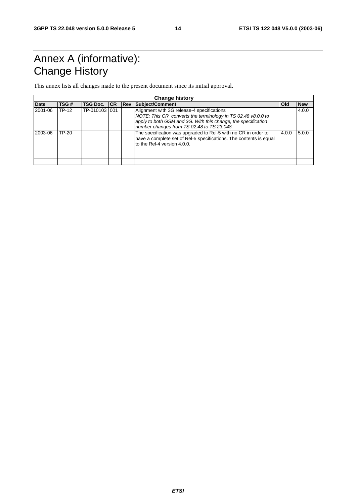# Annex A (informative): Change History

This annex lists all changes made to the present document since its initial approval.

| <b>Change history</b> |       |                     |  |             |                                                                                                                                                                                                                           |            |            |
|-----------------------|-------|---------------------|--|-------------|---------------------------------------------------------------------------------------------------------------------------------------------------------------------------------------------------------------------------|------------|------------|
| <b>Date</b>           | TSG#  | <b>TSG Doc. ICR</b> |  | <b>IRev</b> | Subject/Comment                                                                                                                                                                                                           | <b>Old</b> | <b>New</b> |
| 2001-06               | TP-12 | TP-010103 001       |  |             | Alignment with 3G release-4 specifications<br>NOTE: This CR converts the terminology in TS 02.48 v8.0.0 to<br>apply to both GSM and 3G. With this change, the specification<br>number changes from TS 02.48 to TS 23.048. |            | 4.0.0      |
| 2003-06               | TP-20 |                     |  |             | The specification was upgraded to Rel-5 with no CR in order to<br>have a complete set of Rel-5 specifications. The contents is equal<br>to the Rel-4 version 4.0.0.                                                       | 4.0.0      | 5.0.0      |
|                       |       |                     |  |             |                                                                                                                                                                                                                           |            |            |
|                       |       |                     |  |             |                                                                                                                                                                                                                           |            |            |
|                       |       |                     |  |             |                                                                                                                                                                                                                           |            |            |